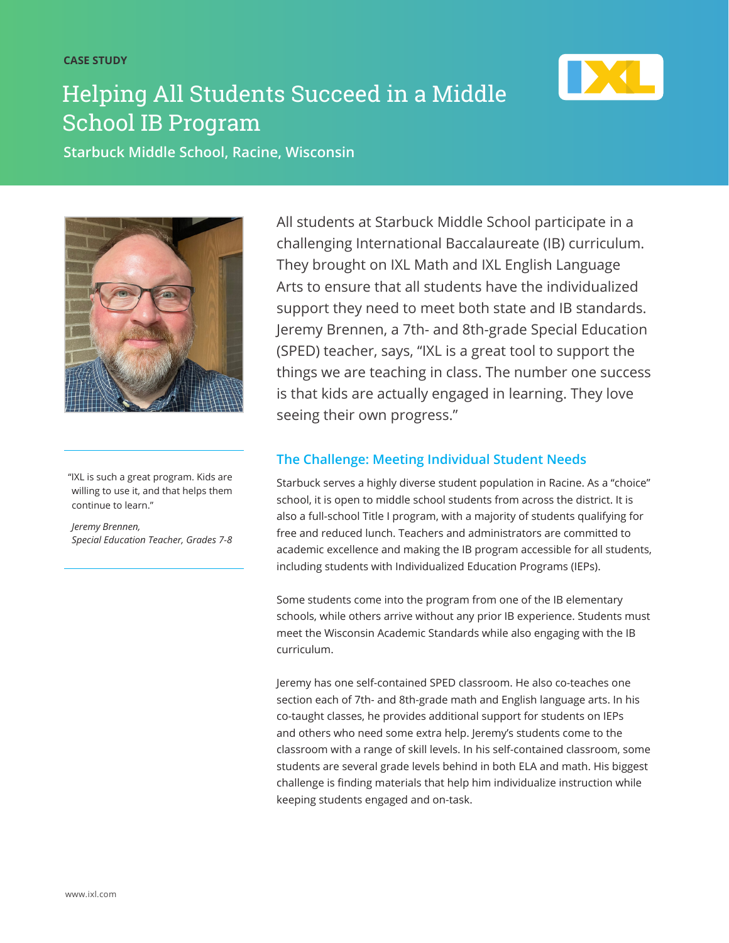**CASE STUDY**

# Helping All Students Succeed in a Middle School IB Program



**Starbuck Middle School, Racine, Wisconsin** 



"IXL is such a great program. Kids are willing to use it, and that helps them continue to learn."

*Jeremy Brennen, Special Education Teacher, Grades 7-8*

All students at Starbuck Middle School participate in a challenging International Baccalaureate (IB) curriculum. They brought on IXL Math and IXL English Language Arts to ensure that all students have the individualized support they need to meet both state and IB standards. Jeremy Brennen, a 7th- and 8th-grade Special Education (SPED) teacher, says, "IXL is a great tool to support the things we are teaching in class. The number one success is that kids are actually engaged in learning. They love seeing their own progress."

### **The Challenge: Meeting Individual Student Needs**

Starbuck serves a highly diverse student population in Racine. As a "choice" school, it is open to middle school students from across the district. It is also a full-school Title I program, with a majority of students qualifying for free and reduced lunch. Teachers and administrators are committed to academic excellence and making the IB program accessible for all students, including students with Individualized Education Programs (IEPs).

Some students come into the program from one of the IB elementary schools, while others arrive without any prior IB experience. Students must meet the Wisconsin Academic Standards while also engaging with the IB curriculum.

Jeremy has one self-contained SPED classroom. He also co-teaches one section each of 7th- and 8th-grade math and English language arts. In his co-taught classes, he provides additional support for students on IEPs and others who need some extra help. Jeremy's students come to the classroom with a range of skill levels. In his self-contained classroom, some students are several grade levels behind in both ELA and math. His biggest challenge is finding materials that help him individualize instruction while keeping students engaged and on-task.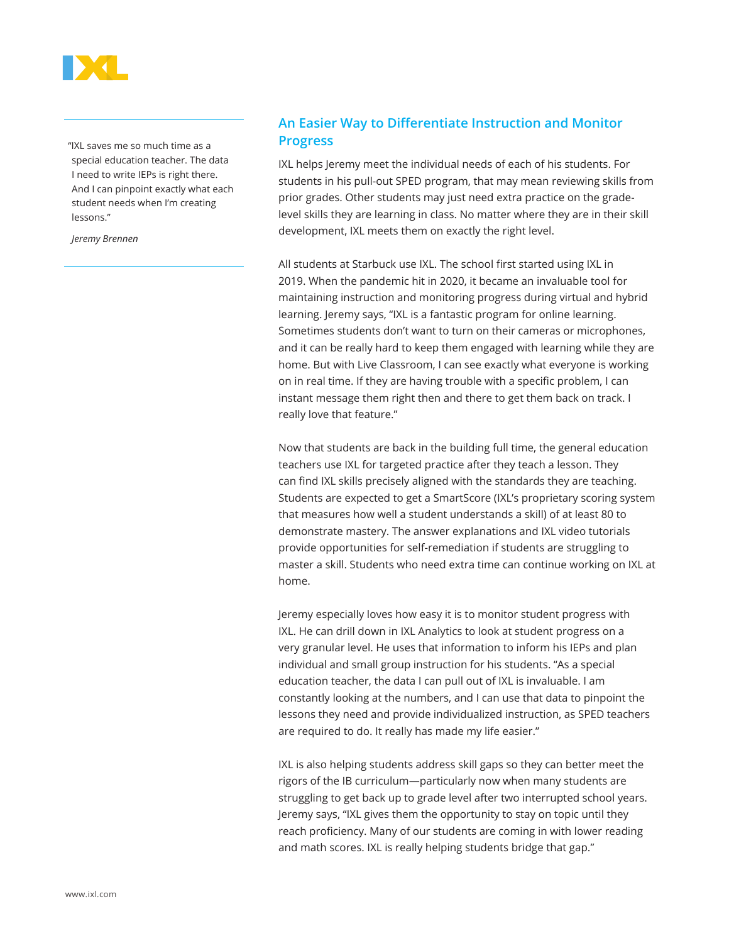

"IXL saves me so much time as a special education teacher. The data I need to write IEPs is right there. And I can pinpoint exactly what each student needs when I'm creating lessons."

*Jeremy Brennen*

#### **An Easier Way to Differentiate Instruction and Monitor Progress**

IXL helps Jeremy meet the individual needs of each of his students. For students in his pull-out SPED program, that may mean reviewing skills from prior grades. Other students may just need extra practice on the gradelevel skills they are learning in class. No matter where they are in their skill development, IXL meets them on exactly the right level.

All students at Starbuck use IXL. The school first started using IXL in 2019. When the pandemic hit in 2020, it became an invaluable tool for maintaining instruction and monitoring progress during virtual and hybrid learning. Jeremy says, "IXL is a fantastic program for online learning. Sometimes students don't want to turn on their cameras or microphones, and it can be really hard to keep them engaged with learning while they are home. But with Live Classroom, I can see exactly what everyone is working on in real time. If they are having trouble with a specific problem, I can instant message them right then and there to get them back on track. I really love that feature."

Now that students are back in the building full time, the general education teachers use IXL for targeted practice after they teach a lesson. They can find IXL skills precisely aligned with the standards they are teaching. Students are expected to get a SmartScore (IXL's proprietary scoring system that measures how well a student understands a skill) of at least 80 to demonstrate mastery. The answer explanations and IXL video tutorials provide opportunities for self-remediation if students are struggling to master a skill. Students who need extra time can continue working on IXL at home.

Jeremy especially loves how easy it is to monitor student progress with IXL. He can drill down in IXL Analytics to look at student progress on a very granular level. He uses that information to inform his IEPs and plan individual and small group instruction for his students. "As a special education teacher, the data I can pull out of IXL is invaluable. I am constantly looking at the numbers, and I can use that data to pinpoint the lessons they need and provide individualized instruction, as SPED teachers are required to do. It really has made my life easier."

IXL is also helping students address skill gaps so they can better meet the rigors of the IB curriculum—particularly now when many students are struggling to get back up to grade level after two interrupted school years. Jeremy says, "IXL gives them the opportunity to stay on topic until they reach proficiency. Many of our students are coming in with lower reading and math scores. IXL is really helping students bridge that gap."